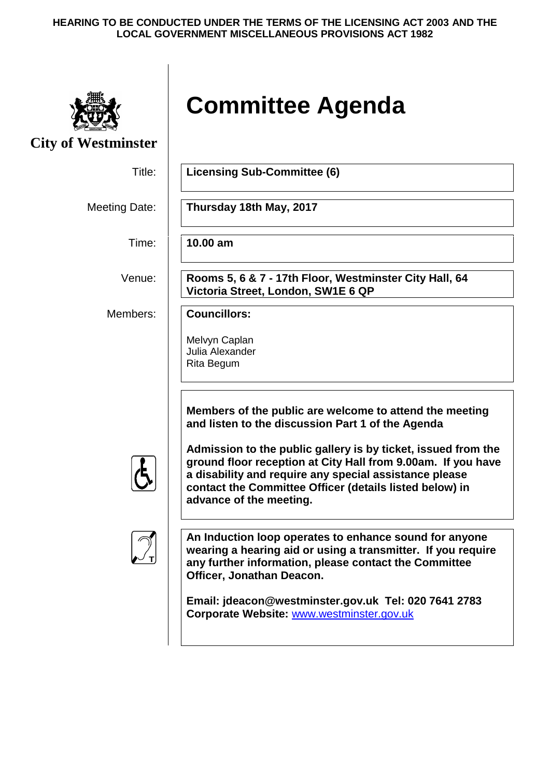#### **HEARING TO BE CONDUCTED UNDER THE TERMS OF THE LICENSING ACT 2003 AND THE LOCAL GOVERNMENT MISCELLANEOUS PROVISIONS ACT 1982**



# **Committee Agenda**

**City of Westminster**

Title: **Licensing Sub-Committee (6)** Meeting Date: **Thursday 18th May, 2017** Time: **10.00 am** Venue: **Rooms 5, 6 & 7 - 17th Floor, Westminster City Hall, 64 Victoria Street, London, SW1E 6 QP** Members: **Councillors:** Melvyn Caplan Julia Alexander Rita Begum **Members of the public are welcome to attend the meeting and listen to the discussion Part 1 of the Agenda Admission to the public gallery is by ticket, issued from the ground floor reception at City Hall from 9.00am. If you have a disability and require any special assistance please contact the Committee Officer (details listed below) in advance of the meeting. T An Induction loop operates to enhance sound for anyone wearing a hearing aid or using a transmitter. If you require any further information, please contact the Committee Officer, Jonathan Deacon. Email: jdeacon@westminster.gov.uk Tel: 020 7641 2783 Corporate Website:** [www.westminster.gov.uk](http://www.westminster.gov.uk/)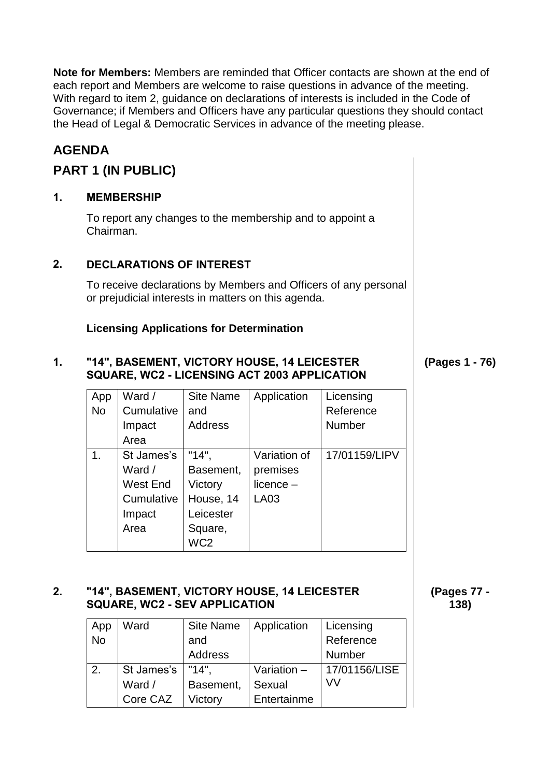**Note for Members:** Members are reminded that Officer contacts are shown at the end of each report and Members are welcome to raise questions in advance of the meeting. With regard to item 2, guidance on declarations of interests is included in the Code of Governance; if Members and Officers have any particular questions they should contact the Head of Legal & Democratic Services in advance of the meeting please.

# **AGENDA**

# **PART 1 (IN PUBLIC)**

## **1. MEMBERSHIP**

To report any changes to the membership and to appoint a Chairman.

## **2. DECLARATIONS OF INTEREST**

To receive declarations by Members and Officers of any personal or prejudicial interests in matters on this agenda.

## **Licensing Applications for Determination**

#### **1. "14", BASEMENT, VICTORY HOUSE, 14 LEICESTER SQUARE, WC2 - LICENSING ACT 2003 APPLICATION**

| App       | Ward /     | <b>Site Name</b> | Application  | Licensing     |
|-----------|------------|------------------|--------------|---------------|
| <b>No</b> | Cumulative | and              |              | Reference     |
|           | Impact     | <b>Address</b>   |              | Number        |
|           | Area       |                  |              |               |
| 1.        | St James's | "14".            | Variation of | 17/01159/LIPV |
|           | Ward /     | Basement,        | premises     |               |
|           | West End   | Victory          | $licence -$  |               |
|           | Cumulative | House, 14        | LA03         |               |
|           | Impact     | Leicester        |              |               |
|           | Area       | Square,          |              |               |
|           |            | WC <sub>2</sub>  |              |               |

#### **2. "14", BASEMENT, VICTORY HOUSE, 14 LEICESTER SQUARE, WC2 - SEV APPLICATION**

| App       | Ward       | <b>Site Name</b> | Application | Licensing     |
|-----------|------------|------------------|-------------|---------------|
| <b>No</b> |            | and              |             | Reference     |
|           |            | <b>Address</b>   |             | Number        |
| 2.        | St James's | "14"             | Variation - | 17/01156/LISE |
|           | Ward /     | Basement,        | Sexual      | VV            |
|           | Core CAZ   | Victory          | Entertainme |               |

**(Pages 77 -**

**(Pages 1 - 76)**

**138)**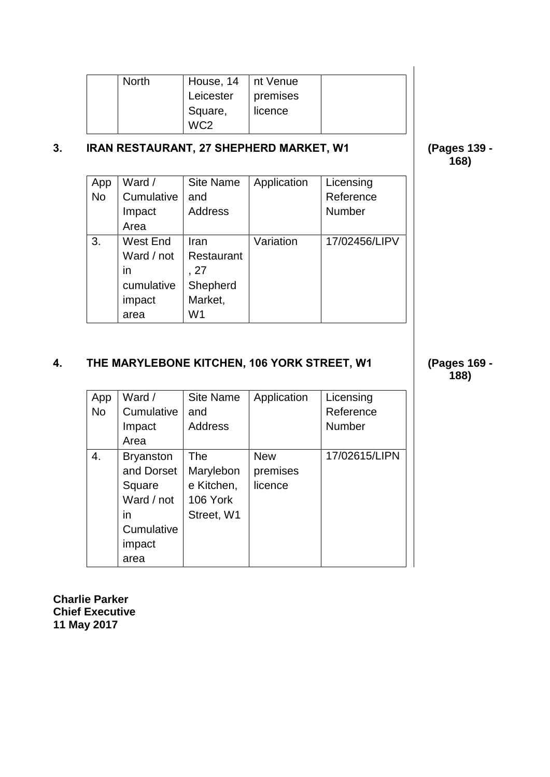| <b>North</b> | House, 14   nt Venue |          |  |
|--------------|----------------------|----------|--|
|              | Leicester            | premises |  |
|              | Square,              | licence  |  |
|              | WC2                  |          |  |

# **3. IRAN RESTAURANT, 27 SHEPHERD MARKET, W1 (Pages 139 -**

**168)**

| App       | Ward /     | <b>Site Name</b> | Application | Licensing     |
|-----------|------------|------------------|-------------|---------------|
| <b>No</b> | Cumulative | and              |             | Reference     |
|           | Impact     | <b>Address</b>   |             | <b>Number</b> |
|           | Area       |                  |             |               |
| 3.        | West End   | Iran             | Variation   | 17/02456/LIPV |
|           | Ward / not | Restaurant       |             |               |
|           | in         | . 27             |             |               |
|           | cumulative | Shepherd         |             |               |
|           | impact     | Market,          |             |               |
|           | area       | W1               |             |               |

# **4. THE MARYLEBONE KITCHEN, 106 YORK STREET, W1 (Pages 169 -**

| App<br><b>No</b> | Ward /<br>Cumulative<br>Impact<br>Area                                                       | <b>Site Name</b><br>and<br><b>Address</b>                | Application                       | Licensing<br>Reference<br>Number |
|------------------|----------------------------------------------------------------------------------------------|----------------------------------------------------------|-----------------------------------|----------------------------------|
| 4.               | <b>Bryanston</b><br>and Dorset<br>Square<br>Ward / not<br>in<br>Cumulative<br>impact<br>area | The<br>Marylebon<br>e Kitchen,<br>106 York<br>Street, W1 | <b>New</b><br>premises<br>licence | 17/02615/LIPN                    |

**Charlie Parker Chief Executive 11 May 2017**

**188)**